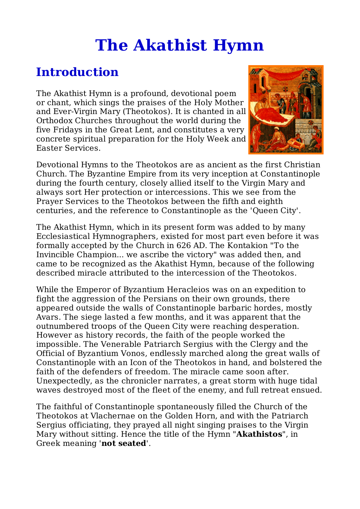# **The Akathist Hymn**

## **Introduction**

The Akathist Hymn is a profound, devotional poem or chant, which sings the praises of the Holy Mother and Ever-Virgin Mary (Theotokos). It is chanted in all Orthodox Churches throughout the world during the five Fridays in the Great Lent, and constitutes a very concrete spiritual preparation for the Holy Week and Easter Services.



Devotional Hymns to the Theotokos are as ancient as the first Christian Church. The Byzantine Empire from its very inception at Constantinople during the fourth century, closely allied itself to the Virgin Mary and always sort Her protection or intercessions. This we see from the Prayer Services to the Theotokos between the fifth and eighth centuries, and the reference to Constantinople as the 'Queen City'.

The Akathist Hymn, which in its present form was added to by many Ecclesiastical Hymnographers, existed for most part even before it was formally accepted by the Church in 626 AD. The Kontakion "To the Invincible Champion... we ascribe the victory" was added then, and came to be recognized as the Akathist Hymn, because of the following described miracle attributed to the intercession of the Theotokos.

While the Emperor of Byzantium Heracleios was on an expedition to fight the aggression of the Persians on their own grounds, there appeared outside the walls of Constantinople barbaric hordes, mostly Avars. The siege lasted a few months, and it was apparent that the outnumbered troops of the Queen City were reaching desperation. However as history records, the faith of the people worked the impossible. The Venerable Patriarch Sergius with the Clergy and the Official of Byzantium Vonos, endlessly marched along the great walls of Constantinople with an Icon of the Theotokos in hand, and bolstered the faith of the defenders of freedom. The miracle came soon after. Unexpectedly, as the chronicler narrates, a great storm with huge tidal waves destroyed most of the fleet of the enemy, and full retreat ensued.

The faithful of Constantinople spontaneously filled the Church of the Theotokos at Vlachernae on the Golden Horn, and with the Patriarch Sergius officiating, they prayed all night singing praises to the Virgin Mary without sitting. Hence the title of the Hymn "**Akathistos**", in Greek meaning '**not seated**'.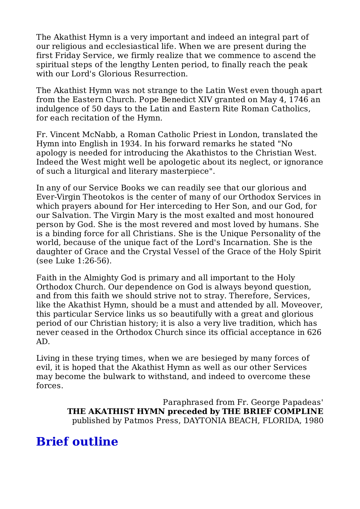The Akathist Hymn is a very important and indeed an integral part of our religious and ecclesiastical life. When we are present during the first Friday Service, we firmly realize that we commence to ascend the spiritual steps of the lengthy Lenten period, to finally reach the peak with our Lord's Glorious Resurrection.

The Akathist Hymn was not strange to the Latin West even though apart from the Eastern Church. Pope Benedict XIV granted on May 4, 1746 an indulgence of 50 days to the Latin and Eastern Rite Roman Catholics, for each recitation of the Hymn.

Fr. Vincent McNabb, a Roman Catholic Priest in London, translated the Hymn into English in 1934. In his forward remarks he stated "No apology is needed for introducing the Akathistos to the Christian West. Indeed the West might well be apologetic about its neglect, or ignorance of such a liturgical and literary masterpiece".

In any of our Service Books we can readily see that our glorious and Ever-Virgin Theotokos is the center of many of our Orthodox Services in which prayers abound for Her interceding to Her Son, and our God, for our Salvation. The Virgin Mary is the most exalted and most honoured person by God. She is the most revered and most loved by humans. She is a binding force for all Christians. She is the Unique Personality of the world, because of the unique fact of the Lord's Incarnation. She is the daughter of Grace and the Crystal Vessel of the Grace of the Holy Spirit (see Luke 1:26-56).

Faith in the Almighty God is primary and all important to the Holy Orthodox Church. Our dependence on God is always beyond question, and from this faith we should strive not to stray. Therefore, Services, like the Akathist Hymn, should be a must and attended by all. Moveover, this particular Service links us so beautifully with a great and glorious period of our Christian history; it is also a very live tradition, which has never ceased in the Orthodox Church since its official acceptance in 626 AD.

Living in these trying times, when we are besieged by many forces of evil, it is hoped that the Akathist Hymn as well as our other Services may become the bulwark to withstand, and indeed to overcome these forces.

> Paraphrased from Fr. George Papadeas' **THE AKATHIST HYMN preceded by THE BRIEF COMPLINE** published by Patmos Press, DAYTONIA BEACH, FLORIDA, 1980

## **Brief outline**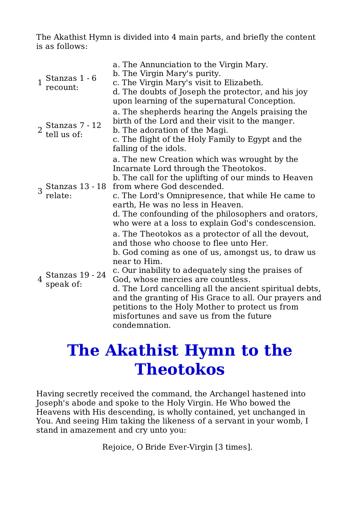The Akathist Hymn is divided into 4 main parts, and briefly the content is as follows:

| $\mathbf{1}$   | Stanzas 1 - 6<br>recount:         | a. The Annunciation to the Virgin Mary.<br>b. The Virgin Mary's purity.<br>c. The Virgin Mary's visit to Elizabeth.<br>d. The doubts of Joseph the protector, and his joy<br>upon learning of the supernatural Conception.                                                                                                                                                                                                                                                                       |
|----------------|-----------------------------------|--------------------------------------------------------------------------------------------------------------------------------------------------------------------------------------------------------------------------------------------------------------------------------------------------------------------------------------------------------------------------------------------------------------------------------------------------------------------------------------------------|
|                | $2$ Stanzas 7 - 12<br>tell us of: | a. The shepherds hearing the Angels praising the<br>birth of the Lord and their visit to the manger.<br>b. The adoration of the Magi.<br>c. The flight of the Holy Family to Egypt and the<br>falling of the idols.                                                                                                                                                                                                                                                                              |
|                | 3 Stanzas 13 - 18<br>relate:      | a. The new Creation which was wrought by the<br>Incarnate Lord through the Theotokos.<br>b. The call for the uplifting of our minds to Heaven<br>from where God descended.<br>c. The Lord's Omnipresence, that while He came to<br>earth, He was no less in Heaven.<br>d. The confounding of the philosophers and orators,<br>who were at a loss to explain God's condescension.                                                                                                                 |
| $\overline{4}$ | Stanzas 19 - 24<br>speak of:      | a. The Theotokos as a protector of all the devout,<br>and those who choose to flee unto Her.<br>b. God coming as one of us, amongst us, to draw us<br>near to Him.<br>c. Our inability to adequately sing the praises of<br>God, whose mercies are countless.<br>d. The Lord cancelling all the ancient spiritual debts,<br>and the granting of His Grace to all. Our prayers and<br>petitions to the Holy Mother to protect us from<br>misfortunes and save us from the future<br>condemnation. |

# **The Akathist Hymn to the Theotokos**

Having secretly received the command, the Archangel hastened into Joseph's abode and spoke to the Holy Virgin. He Who bowed the Heavens with His descending, is wholly contained, yet unchanged in You. And seeing Him taking the likeness of a servant in your womb, I stand in amazement and cry unto you:

Rejoice, O Bride Ever-Virgin [3 times].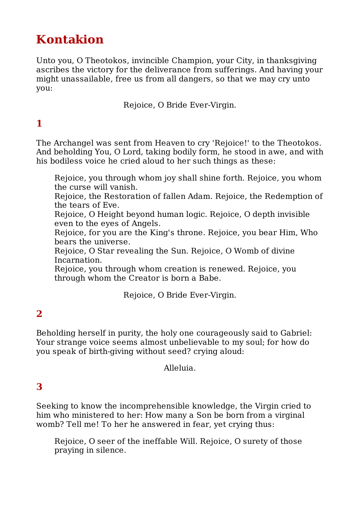# **Kontakion**

Unto you, O Theotokos, invincible Champion, your City, in thanksgiving ascribes the victory for the deliverance from sufferings. And having your might unassailable, free us from all dangers, so that we may cry unto you:

Rejoice, O Bride Ever-Virgin.

## **1**

The Archangel was sent from Heaven to cry 'Rejoice!' to the Theotokos. And beholding You, O Lord, taking bodily form, he stood in awe, and with his bodiless voice he cried aloud to her such things as these:

Rejoice, you through whom joy shall shine forth. Rejoice, you whom the curse will vanish.

Rejoice, the Restoration of fallen Adam. Rejoice, the Redemption of the tears of Eve.

Rejoice, O Height beyond human logic. Rejoice, O depth invisible even to the eyes of Angels.

Rejoice, for you are the King's throne. Rejoice, you bear Him, Who bears the universe.

Rejoice, O Star revealing the Sun. Rejoice, O Womb of divine Incarnation.

Rejoice, you through whom creation is renewed. Rejoice, you through whom the Creator is born a Babe.

Rejoice, O Bride Ever-Virgin.

#### **2**

Beholding herself in purity, the holy one courageously said to Gabriel: Your strange voice seems almost unbelievable to my soul; for how do you speak of birth-giving without seed? crying aloud:

Alleluia.

#### **3**

Seeking to know the incomprehensible knowledge, the Virgin cried to him who ministered to her: How many a Son be born from a virginal womb? Tell me! To her he answered in fear, yet crying thus:

Rejoice, O seer of the ineffable Will. Rejoice, O surety of those praying in silence.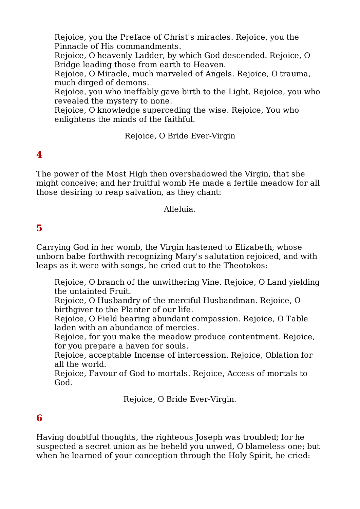Rejoice, you the Preface of Christ's miracles. Rejoice, you the Pinnacle of His commandments.

Rejoice, O heavenly Ladder, by which God descended. Rejoice, O Bridge leading those from earth to Heaven.

Rejoice, O Miracle, much marveled of Angels. Rejoice, O trauma, much dirged of demons.

Rejoice, you who ineffably gave birth to the Light. Rejoice, you who revealed the mystery to none.

Rejoice, O knowledge superceding the wise. Rejoice, You who enlightens the minds of the faithful.

Rejoice, O Bride Ever-Virgin

### **4**

The power of the Most High then overshadowed the Virgin, that she might conceive; and her fruitful womb He made a fertile meadow for all those desiring to reap salvation, as they chant:

Alleluia.

#### **5**

Carrying God in her womb, the Virgin hastened to Elizabeth, whose unborn babe forthwith recognizing Mary's salutation rejoiced, and with leaps as it were with songs, he cried out to the Theotokos:

Rejoice, O branch of the unwithering Vine. Rejoice, O Land yielding the untainted Fruit.

Rejoice, O Husbandry of the merciful Husbandman. Rejoice, O birthgiver to the Planter of our life.

Rejoice, O Field bearing abundant compassion. Rejoice, O Table laden with an abundance of mercies.

Rejoice, for you make the meadow produce contentment. Rejoice, for you prepare a haven for souls.

Rejoice, acceptable Incense of intercession. Rejoice, Oblation for all the world.

Rejoice, Favour of God to mortals. Rejoice, Access of mortals to God.

Rejoice, O Bride Ever-Virgin.

#### **6**

Having doubtful thoughts, the righteous Joseph was troubled; for he suspected a secret union as he beheld you unwed, O blameless one; but when he learned of your conception through the Holy Spirit, he cried: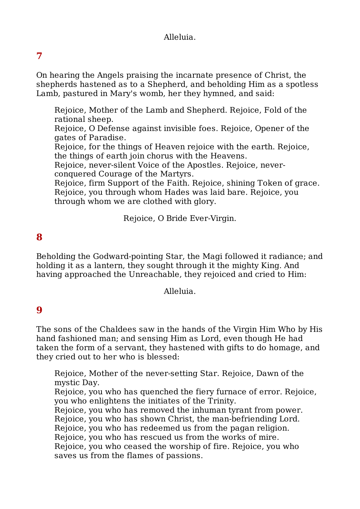#### Alleluia.

### **7**

On hearing the Angels praising the incarnate presence of Christ, the shepherds hastened as to a Shepherd, and beholding Him as a spotless Lamb, pastured in Mary's womb, her they hymned, and said:

Rejoice, Mother of the Lamb and Shepherd. Rejoice, Fold of the rational sheep.

Rejoice, O Defense against invisible foes. Rejoice, Opener of the gates of Paradise.

Rejoice, for the things of Heaven rejoice with the earth. Rejoice, the things of earth join chorus with the Heavens.

Rejoice, never-silent Voice of the Apostles. Rejoice, neverconquered Courage of the Martyrs.

Rejoice, firm Support of the Faith. Rejoice, shining Token of grace. Rejoice, you through whom Hades was laid bare. Rejoice, you through whom we are clothed with glory.

Rejoice, O Bride Ever-Virgin.

#### **8**

Beholding the Godward-pointing Star, the Magi followed it radiance; and holding it as a lantern, they sought through it the mighty King. And having approached the Unreachable, they rejoiced and cried to Him:

Alleluia.

#### **9**

The sons of the Chaldees saw in the hands of the Virgin Him Who by His hand fashioned man; and sensing Him as Lord, even though He had taken the form of a servant, they hastened with gifts to do homage, and they cried out to her who is blessed:

Rejoice, Mother of the never-setting Star. Rejoice, Dawn of the mystic Day.

Rejoice, you who has quenched the fiery furnace of error. Rejoice, you who enlightens the initiates of the Trinity.

Rejoice, you who has removed the inhuman tyrant from power.

Rejoice, you who has shown Christ, the man-befriending Lord.

Rejoice, you who has redeemed us from the pagan religion.

Rejoice, you who has rescued us from the works of mire.

Rejoice, you who ceased the worship of fire. Rejoice, you who saves us from the flames of passions.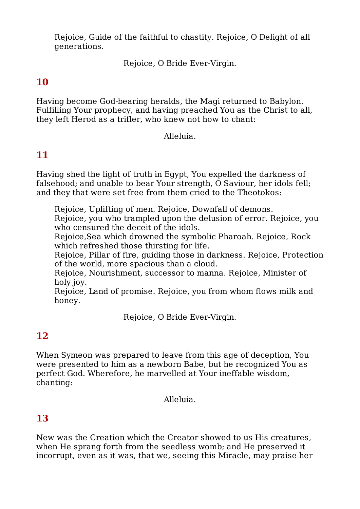Rejoice, Guide of the faithful to chastity. Rejoice, O Delight of all generations.

Rejoice, O Bride Ever-Virgin.

### **10**

Having become God-bearing heralds, the Magi returned to Babylon. Fulfilling Your prophecy, and having preached You as the Christ to all, they left Herod as a trifler, who knew not how to chant:

Alleluia.

#### **11**

Having shed the light of truth in Egypt, You expelled the darkness of falsehood; and unable to bear Your strength, O Saviour, her idols fell; and they that were set free from them cried to the Theotokos:

Rejoice, Uplifting of men. Rejoice, Downfall of demons.

Rejoice, you who trampled upon the delusion of error. Rejoice, you who censured the deceit of the idols.

Rejoice,Sea which drowned the symbolic Pharoah. Rejoice, Rock which refreshed those thirsting for life.

Rejoice, Pillar of fire, guiding those in darkness. Rejoice, Protection of the world, more spacious than a cloud.

Rejoice, Nourishment, successor to manna. Rejoice, Minister of holy joy.

Rejoice, Land of promise. Rejoice, you from whom flows milk and honey.

Rejoice, O Bride Ever-Virgin.

#### **12**

When Symeon was prepared to leave from this age of deception, You were presented to him as a newborn Babe, but he recognized You as perfect God. Wherefore, he marvelled at Your ineffable wisdom, chanting:

Alleluia.

#### **13**

New was the Creation which the Creator showed to us His creatures, when He sprang forth from the seedless womb; and He preserved it incorrupt, even as it was, that we, seeing this Miracle, may praise her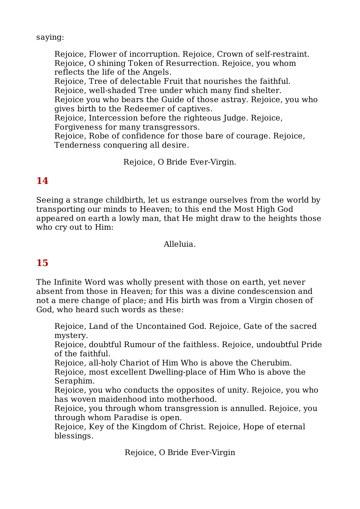saying:

Rejoice, Flower of incorruption. Rejoice, Crown of self-restraint. Rejoice, O shining Token of Resurrection. Rejoice, you whom reflects the life of the Angels.

Rejoice, Tree of delectable Fruit that nourishes the faithful.

Rejoice, well-shaded Tree under which many find shelter.

Rejoice you who bears the Guide of those astray. Rejoice, you who gives birth to the Redeemer of captives.

Rejoice, Intercession before the righteous Judge. Rejoice,

Forgiveness for many transgressors.

Rejoice, Robe of confidence for those bare of courage. Rejoice, Tenderness conquering all desire.

Rejoice, O Bride Ever-Virgin.

### **14**

Seeing a strange childbirth, let us estrange ourselves from the world by transporting our minds to Heaven; to this end the Most High God appeared on earth a lowly man, that He might draw to the heights those who cry out to Him:

Alleluia.

### **15**

The Infinite Word was wholly present with those on earth, yet never absent from those in Heaven; for this was a divine condescension and not a mere change of place; and His birth was from a Virgin chosen of God, who heard such words as these:

Rejoice, Land of the Uncontained God. Rejoice, Gate of the sacred mystery.

Rejoice, doubtful Rumour of the faithless. Rejoice, undoubtful Pride of the faithful.

Rejoice, all-holy Chariot of Him Who is above the Cherubim.

Rejoice, most excellent Dwelling-place of Him Who is above the Seraphim.

Rejoice, you who conducts the opposites of unity. Rejoice, you who has woven maidenhood into motherhood.

Rejoice, you through whom transgression is annulled. Rejoice, you through whom Paradise is open.

Rejoice, Key of the Kingdom of Christ. Rejoice, Hope of eternal blessings.

Rejoice, O Bride Ever-Virgin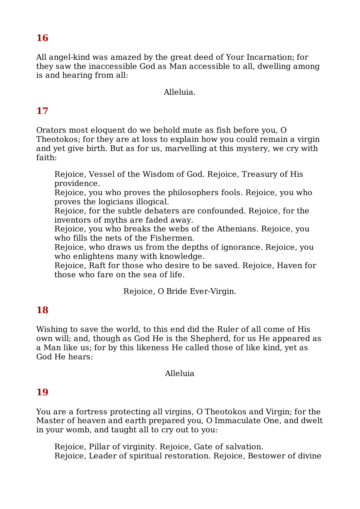#### **16**

All angel-kind was amazed by the great deed of Your Incarnation; for they saw the inaccessible God as Man accessible to all, dwelling among is and hearing from all:

#### Alleluia.

### **17**

Orators most eloquent do we behold mute as fish before you, O Theotokos; for they are at loss to explain how you could remain a virgin and yet give birth. But as for us, marvelling at this mystery, we cry with faith:

Rejoice, Vessel of the Wisdom of God. Rejoice, Treasury of His providence.

Rejoice, you who proves the philosophers fools. Rejoice, you who proves the logicians illogical.

Rejoice, for the subtle debaters are confounded. Rejoice, for the inventors of myths are faded away.

Rejoice, you who breaks the webs of the Athenians. Rejoice, you who fills the nets of the Fishermen.

Rejoice, who draws us from the depths of ignorance. Rejoice, you who enlightens many with knowledge.

Rejoice, Raft for those who desire to be saved. Rejoice, Haven for those who fare on the sea of life.

Rejoice, O Bride Ever-Virgin.

#### **18**

Wishing to save the world, to this end did the Ruler of all come of His own will; and, though as God He is the Shepherd, for us He appeared as a Man like us; for by this likeness He called those of like kind, yet as God He hears:

#### Alleluia

#### **19**

You are a fortress protecting all virgins, O Theotokos and Virgin; for the Master of heaven and earth prepared you, O Immaculate One, and dwelt in your womb, and taught all to cry out to you:

Rejoice, Pillar of virginity. Rejoice, Gate of salvation. Rejoice, Leader of spiritual restoration. Rejoice, Bestower of divine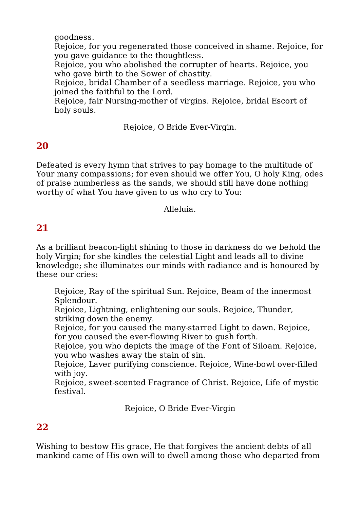goodness.

Rejoice, for you regenerated those conceived in shame. Rejoice, for you gave guidance to the thoughtless.

Rejoice, you who abolished the corrupter of hearts. Rejoice, you who gave birth to the Sower of chastity.

Rejoice, bridal Chamber of a seedless marriage. Rejoice, you who joined the faithful to the Lord.

Rejoice, fair Nursing-mother of virgins. Rejoice, bridal Escort of holy souls.

Rejoice, O Bride Ever-Virgin.

#### **20**

Defeated is every hymn that strives to pay homage to the multitude of Your many compassions; for even should we offer You, O holy King, odes of praise numberless as the sands, we should still have done nothing worthy of what You have given to us who cry to You:

Alleluia.

#### **21**

As a brilliant beacon-light shining to those in darkness do we behold the holy Virgin; for she kindles the celestial Light and leads all to divine knowledge; she illuminates our minds with radiance and is honoured by these our cries:

Rejoice, Ray of the spiritual Sun. Rejoice, Beam of the innermost Splendour.

Rejoice, Lightning, enlightening our souls. Rejoice, Thunder, striking down the enemy.

Rejoice, for you caused the many-starred Light to dawn. Rejoice, for you caused the ever-flowing River to gush forth.

Rejoice, you who depicts the image of the Font of Siloam. Rejoice, you who washes away the stain of sin.

Rejoice, Laver purifying conscience. Rejoice, Wine-bowl over-filled with joy.

Rejoice, sweet-scented Fragrance of Christ. Rejoice, Life of mystic festival.

Rejoice, O Bride Ever-Virgin

#### **22**

Wishing to bestow His grace, He that forgives the ancient debts of all mankind came of His own will to dwell among those who departed from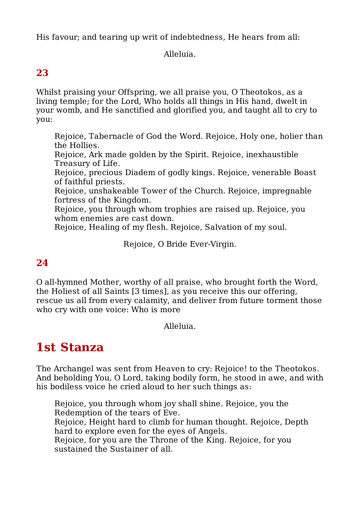His favour; and tearing up writ of indebtedness, He hears from all:

Alleluia.

#### **23**

Whilst praising your Offspring, we all praise you, O Theotokos, as a living temple; for the Lord, Who holds all things in His hand, dwelt in your womb, and He sanctified and glorified you, and taught all to cry to you:

- Rejoice, Tabernacle of God the Word. Rejoice, Holy one, holier than the Hollies.
- Rejoice, Ark made golden by the Spirit. Rejoice, inexhaustible Treasury of Life.
- Rejoice, precious Diadem of godly kings. Rejoice, venerable Boast of faithful priests.
- Rejoice, unshakeable Tower of the Church. Rejoice, impregnable fortress of the Kingdom.
- Rejoice, you through whom trophies are raised up. Rejoice, you whom enemies are cast down.
- Rejoice, Healing of my flesh. Rejoice, Salvation of my soul.

Rejoice, O Bride Ever-Virgin.

#### **24**

O all-hymned Mother, worthy of all praise, who brought forth the Word, the Holiest of all Saints [3 times], as you receive this our offering, rescue us all from every calamity, and deliver from future torment those who cry with one voice: Who is more

Alleluia.

# **1st Stanza**

The Archangel was sent from Heaven to cry: Rejoice! to the Theotokos. And beholding You, O Lord, taking bodily form, he stood in awe, and with his bodiless voice he cried aloud to her such things as:

Rejoice, you through whom joy shall shine. Rejoice, you the Redemption of the tears of Eve.

Rejoice, Height hard to climb for human thought. Rejoice, Depth hard to explore even for the eyes of Angels.

Rejoice, for you are the Throne of the King. Rejoice, for you sustained the Sustainer of all.